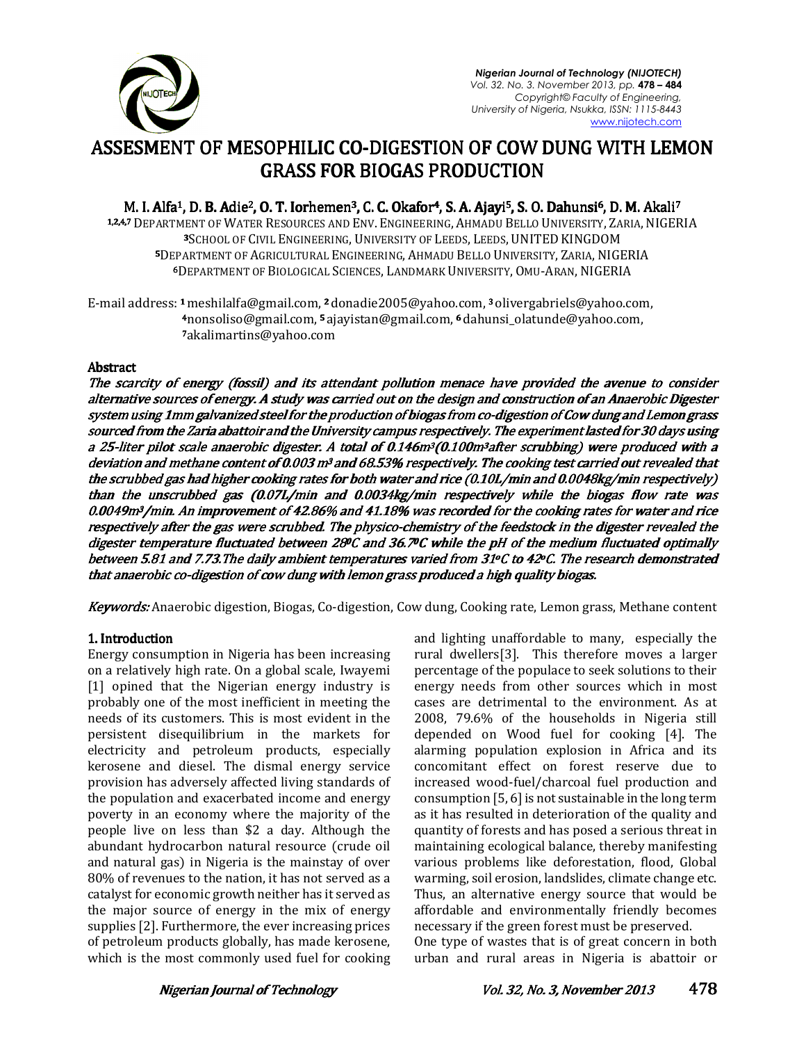

*Nigerian Journal of Technology (NIJOTECH) Vol. 32. No. 3. November 2013, pp.* **478 – 484**  *Copyright© Faculty of Engineering, University of Nigeria, Nsukka, ISSN: 1115-8443*  www.nijotech.com

# ASSESMENT OF MESOPHILIC CO-DIGESTION OF COW DUNG WITH LEMON  $\,$ GRASS FOR BIOGAS PRODUCTION GRASS FOR PRODUCTION

M. I. Alfa<sup>1</sup>, D. B. Adie<sup>2</sup>, O. T. Iorhemen<sup>3</sup>, C. C. Okafor<sup>4</sup>, S. A. Ajayi<sup>5</sup>, S. O. Dahunsi<sup>6</sup>, D. M. Akali<sup>7</sup>

1.2.4,7 DEPARTMENT OF WATER RESOURCES AND ENV. ENGINEERING, AHMADU BELLO UNIVERSITY, ZARIA, NIGERIA <sup>3</sup>SCHOOL OF CIVIL ENGINEERING, UNIVERSITY OF LEEDS, LEEDS, UNITED KINGDOM 5DEPARTMENT OF AGRICULTURAL ENGINEERING, AHMADU BELLO UNIVERSITY, ZARIA, NIGERIA <sup>6</sup>DEPARTMENT OF BIOLOGICAL SCIENCES, LANDMARK UNIVERSITY, OMU-ARAN, NIGERIA

E-mail address: 1 meshilalfa@gmail.com, 2 donadie2005@yahoo.com, 3 olivergabriels@yahoo.com, <sup>4</sup>nonsoliso@gmail.com, 5 ajayistan@gmail.com, 6 dahunsi\_olatunde@yahoo.com, <sup>7</sup>akalimartins@yahoo.com

# **Abstract**

The scarcity of energy (fossil) and its attendant pollution menace have provided the avenue to consider alternative sources of energy. A study was carried out on the design and construction of an Anaerobic Digester system using 1mm galvanized steel for the production of biogas from co-digestion of Cow dung and Lemon grass sourced from the Zaria abattoir and the University campus respectively. The experiment lasted for 30 days using a 25-liter pilot scale anaerobic digester. A total of 0.146m<sup>3</sup>(0.100m<sup>3</sup>after scrubbing) were produced with a deviation and methane content of 0.003 m<sup>3</sup> and 68.53% respectively. The cooking test carried out revealed that the scrubbed gas had higher cooking rates for both water and rice (0.10L/min and 0.0048kg/min respectively) than the unscrubbed gas (0.07L/min and 0.0034kg/min respectively while the biogas flow rate was 0.0049m3/min. An improvement of 42.86% and 41.18% was recorded for the cooking rates for water and rice respectively after the gas were scrubbed. The physico-chemistry of the feedstock in the digester revealed the digester temperature fluctuated between 280C and 36.70C while the pH of the medium fluctuated optimally between 5.81 and 7.73.The daily ambient temperatures varied from 31°C to 42°C. The research demonstrated that anaerobic co-digestion of cow dung with lemon grass produced a high quality biogas.

Keywords: Anaerobic digestion, Biogas, Co-digestion, Cow dung, Cooking rate, Lemon grass, Methane content

# 1. Introduction

Energy consumption in Nigeria has been increasing on a relatively high rate. On a global scale, Iwayemi [1] opined that the Nigerian energy industry is probably one of the most inefficient in meeting the needs of its customers. This is most evident in the persistent disequilibrium in the markets for electricity and petroleum products, especially kerosene and diesel. The dismal energy service provision has adversely affected living standards of the population and exacerbated income and energy poverty in an economy where the majority of the people live on less than \$2 a day. Although the abundant hydrocarbon natural resource (crude oil and natural gas) in Nigeria is the mainstay of over 80% of revenues to the nation, it has not served as a catalyst for economic growth neither has it served as the major source of energy in the mix of energy supplies [2]. Furthermore, the ever increasing prices of petroleum products globally, has made kerosene, which is the most commonly used fuel for cooking and lighting unaffordable to many, especially the rural dwellers[3]. This therefore moves a larger percentage of the populace to seek solutions to their energy needs from other sources which in most cases are detrimental to the environment. As at 2008, 79.6% of the households in Nigeria still depended on Wood fuel for cooking [4]. The alarming population explosion in Africa and its concomitant effect on forest reserve due to increased wood-fuel/charcoal fuel production and consumption [5, 6] is not sustainable in the long term as it has resulted in deterioration of the quality and quantity of forests and has posed a serious threat in maintaining ecological balance, thereby manifesting various problems like deforestation, flood, Global warming, soil erosion, landslides, climate change etc. Thus, an alternative energy source that would be affordable and environmentally friendly becomes necessary if the green forest must be preserved.

One type of wastes that is of great concern in both urban and rural areas in Nigeria is abattoir or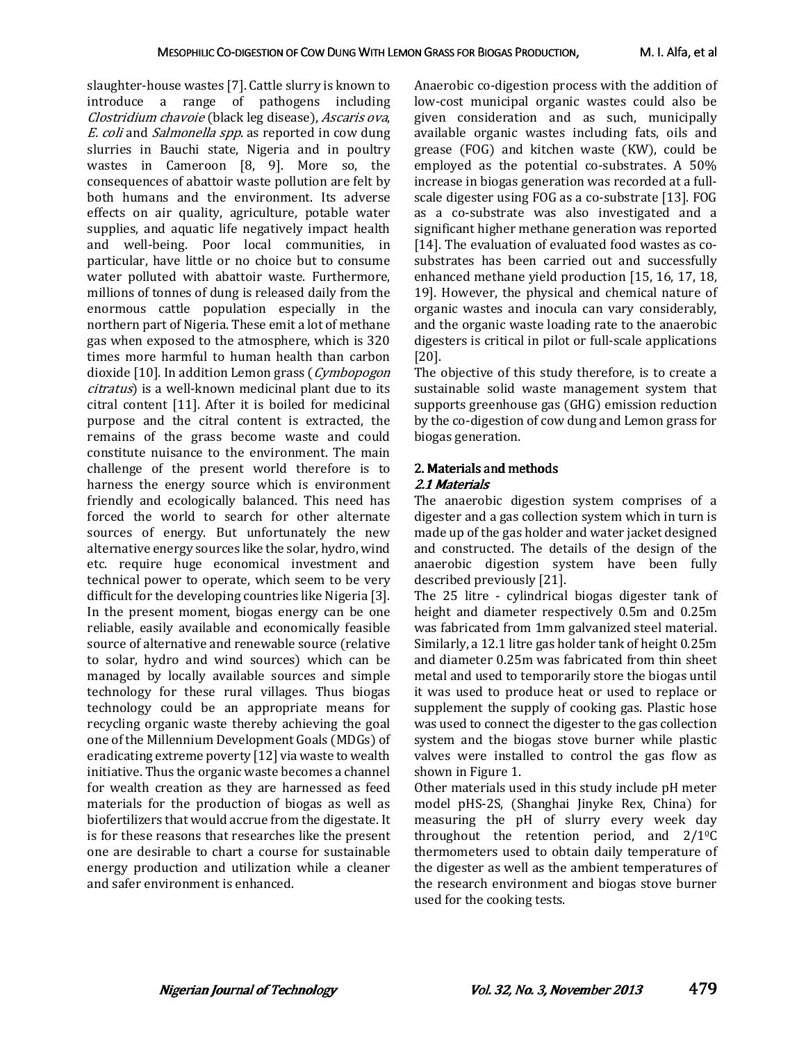slaughter-house wastes [7]. Cattle slurry is known to introduce a range of pathogens including Clostridium chavoie (black leg disease), Ascaris ova, E. coli and Salmonella spp. as reported in cow dung slurries in Bauchi state, Nigeria and in poultry wastes in Cameroon [8, 9]. More so, the consequences of abattoir waste pollution are felt by both humans and the environment. Its adverse effects on air quality, agriculture, potable water supplies, and aquatic life negatively impact health and well-being. Poor local communities, in particular, have little or no choice but to consume water polluted with abattoir waste. Furthermore, millions of tonnes of dung is released daily from the enormous cattle population especially in the northern part of Nigeria. These emit a lot of methane gas when exposed to the atmosphere, which is 320 times more harmful to human health than carbon dioxide [10]. In addition Lemon grass (Cymbopogon citratus) is a well-known medicinal plant due to its citral content [11]. After it is boiled for medicinal purpose and the citral content is extracted, the remains of the grass become waste and could constitute nuisance to the environment. The main challenge of the present world therefore is to harness the energy source which is environment friendly and ecologically balanced. This need has forced the world to search for other alternate sources of energy. But unfortunately the new alternative energy sources like the solar, hydro, wind etc. require huge economical investment and technical power to operate, which seem to be very difficult for the developing countries like Nigeria [3]. In the present moment, biogas energy can be one reliable, easily available and economically feasible source of alternative and renewable source (relative to solar, hydro and wind sources) which can be managed by locally available sources and simple technology for these rural villages. Thus biogas technology could be an appropriate means for recycling organic waste thereby achieving the goal one of the Millennium Development Goals (MDGs) of eradicating extreme poverty [12] via waste to wealth initiative. Thus the organic waste becomes a channel for wealth creation as they are harnessed as feed materials for the production of biogas as well as biofertilizers that would accrue from the digestate. It is for these reasons that researches like the present one are desirable to chart a course for sustainable energy production and utilization while a cleaner and safer environment is enhanced.

Anaerobic co-digestion process with the addition of low-cost municipal organic wastes could also be given consideration and as such, municipally available organic wastes including fats, oils and grease (FOG) and kitchen waste (KW), could be employed as the potential co-substrates. A 50% increase in biogas generation was recorded at a fullscale digester using FOG as a co-substrate [13]. FOG as a co-substrate was also investigated and a significant higher methane generation was reported [14]. The evaluation of evaluated food wastes as cosubstrates has been carried out and successfully enhanced methane yield production [15, 16, 17, 18, 19]. However, the physical and chemical nature of organic wastes and inocula can vary considerably, and the organic waste loading rate to the anaerobic digesters is critical in pilot or full-scale applications [20].

The objective of this study therefore, is to create a sustainable solid waste management system that supports greenhouse gas (GHG) emission reduction by the co-digestion of cow dung and Lemon grass for biogas generation.

#### 2. Materials and methods 2.1 Materials 2.1 Materials

The anaerobic digestion system comprises of a digester and a gas collection system which in turn is made up of the gas holder and water jacket designed and constructed. The details of the design of the anaerobic digestion system have been fully described previously [21].

The 25 litre - cylindrical biogas digester tank of height and diameter respectively 0.5m and 0.25m was fabricated from 1mm galvanized steel material. Similarly, a 12.1 litre gas holder tank of height 0.25m and diameter 0.25m was fabricated from thin sheet metal and used to temporarily store the biogas until it was used to produce heat or used to replace or supplement the supply of cooking gas. Plastic hose was used to connect the digester to the gas collection system and the biogas stove burner while plastic valves were installed to control the gas flow as shown in Figure 1.

Other materials used in this study include pH meter model pHS-2S, (Shanghai Jinyke Rex, China) for measuring the pH of slurry every week day throughout the retention period, and  $2/10C$ thermometers used to obtain daily temperature of the digester as well as the ambient temperatures of the research environment and biogas stove burner used for the cooking tests.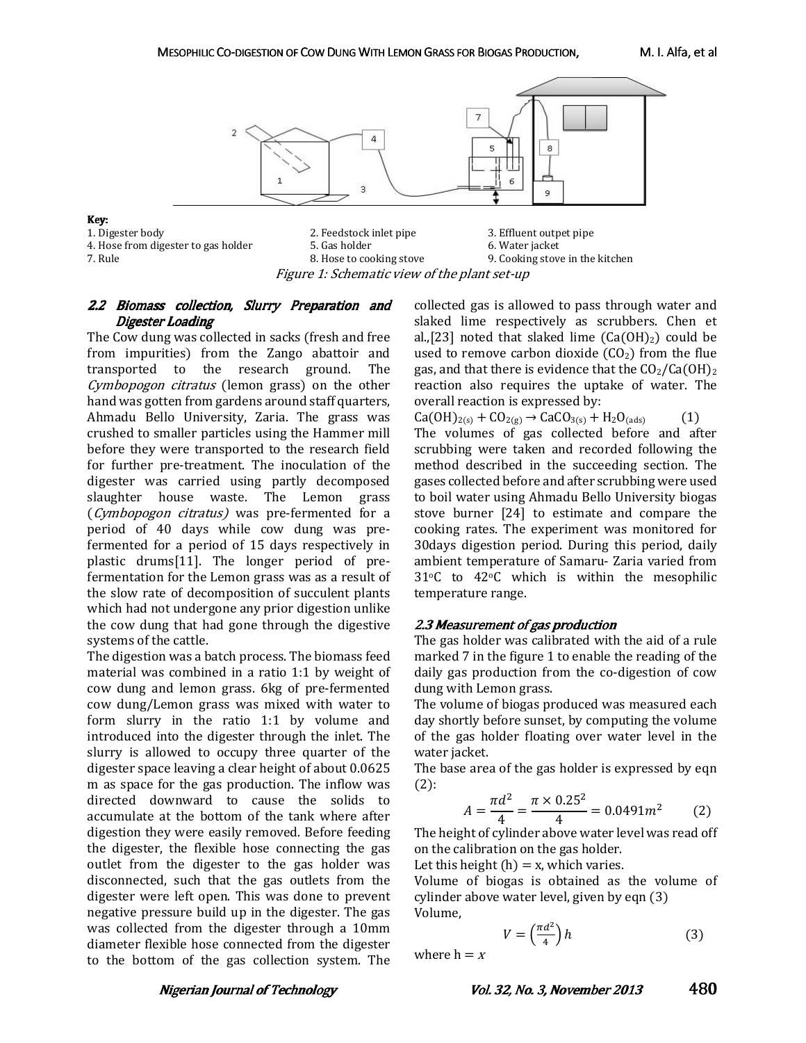

- 4. Hose from digester to gas holder 5. Gas holder 7. Rule 20. Water 5. Gas holder  $\overline{a}$ . Hose to cooking stove
- 

2. Feedstock inlet pipe 3. Effluent outpet pipe 5. Gas holder  $\begin{array}{ccc} 3. & \text{Effuent outpet pipe} \\ 6. & \text{Water jacket} \end{array}$ 9. Cooking stove in the kitchen Figure 1: Schematic view of the plant set-up

# 2.2 Biomass collection, Slurry Preparation and Digester Loading

The Cow dung was collected in sacks (fresh and free from impurities) from the Zango abattoir and transported to the research ground. The Cymbopogon citratus (lemon grass) on the other hand was gotten from gardens around staff quarters, Ahmadu Bello University, Zaria. The grass was crushed to smaller particles using the Hammer mill before they were transported to the research field for further pre-treatment. The inoculation of the digester was carried using partly decomposed slaughter house waste. The Lemon grass (Cymbopogon citratus) was pre-fermented for a period of 40 days while cow dung was prefermented for a period of 15 days respectively in plastic drums[11]. The longer period of prefermentation for the Lemon grass was as a result of the slow rate of decomposition of succulent plants which had not undergone any prior digestion unlike the cow dung that had gone through the digestive systems of the cattle.

The digestion was a batch process. The biomass feed material was combined in a ratio 1:1 by weight of cow dung and lemon grass. 6kg of pre-fermented cow dung/Lemon grass was mixed with water to form slurry in the ratio 1:1 by volume and introduced into the digester through the inlet. The slurry is allowed to occupy three quarter of the digester space leaving a clear height of about 0.0625 m as space for the gas production. The inflow was directed downward to cause the solids to accumulate at the bottom of the tank where after digestion they were easily removed. Before feeding the digester, the flexible hose connecting the gas outlet from the digester to the gas holder was disconnected, such that the gas outlets from the digester were left open. This was done to prevent negative pressure build up in the digester. The gas was collected from the digester through a 10mm diameter flexible hose connected from the digester to the bottom of the gas collection system. The

collected gas is allowed to pass through water and slaked lime respectively as scrubbers. Chen et al.,[23] noted that slaked lime  $(Ca(OH)_2)$  could be used to remove carbon dioxide  $(CO<sub>2</sub>)$  from the flue gas, and that there is evidence that the  $CO<sub>2</sub>/Ca(OH)<sub>2</sub>$ reaction also requires the uptake of water. The overall reaction is expressed by:

 $Ca(OH)_{2(s)} + CO_{2(g)} \rightarrow CaCO_{3(s)} + H_2O_{(ads)}$  (1) The volumes of gas collected before and after scrubbing were taken and recorded following the method described in the succeeding section. The gases collected before and after scrubbing were used to boil water using Ahmadu Bello University biogas stove burner [24] to estimate and compare the cooking rates. The experiment was monitored for 30days digestion period. During this period, daily ambient temperature of Samaru- Zaria varied from 31oC to 42oC which is within the mesophilic temperature range.

# 2.3 Measurement of gas production

The gas holder was calibrated with the aid of a rule marked 7 in the figure 1 to enable the reading of the daily gas production from the co-digestion of cow dung with Lemon grass.

The volume of biogas produced was measured each day shortly before sunset, by computing the volume of the gas holder floating over water level in the water jacket.

The base area of the gas holder is expressed by eqn  $(2)$ :

$$
A = \frac{\pi d^2}{4} = \frac{\pi \times 0.25^2}{4} = 0.0491m^2 \tag{2}
$$

The height of cylinder above water level was read off on the calibration on the gas holder.

Let this height  $(h) = x$ , which varies.

Volume of biogas is obtained as the volume of cylinder above water level, given by eqn (3) Volume,

$$
V = \left(\frac{\pi d^2}{4}\right)h\tag{3}
$$

where  $h = x$ 

Vol. 32, No. 3, November 2013 480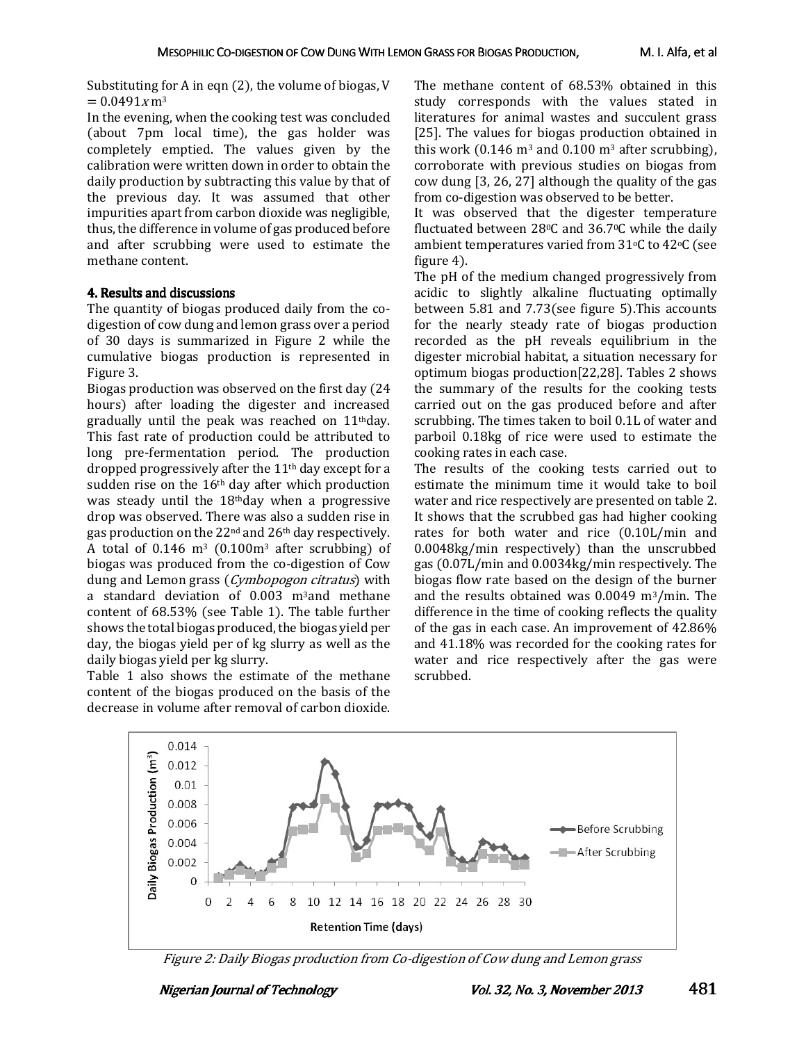Substituting for A in eqn (2), the volume of biogas, V  $= 0.0491 \times m^3$ 

In the evening, when the cooking test was concluded (about 7pm local time), the gas holder was completely emptied. The values given by the calibration were written down in order to obtain the daily production by subtracting this value by that of the previous day. It was assumed that other impurities apart from carbon dioxide was negligible, thus, the difference in volume of gas produced before and after scrubbing were used to estimate the methane content.

#### 4. Results and discussions 4. Results

The quantity of biogas produced daily from the codigestion of cow dung and lemon grass over a period of 30 days is summarized in Figure 2 while the cumulative biogas production is represented in Figure 3.

Biogas production was observed on the first day (24 hours) after loading the digester and increased gradually until the peak was reached on 11thday. This fast rate of production could be attributed to long pre-fermentation period. The production dropped progressively after the  $11<sup>th</sup>$  day except for a sudden rise on the 16th day after which production was steady until the 18thday when a progressive drop was observed. There was also a sudden rise in gas production on the 22nd and 26th day respectively. A total of  $0.146$  m<sup>3</sup> ( $0.100$ m<sup>3</sup> after scrubbing) of biogas was produced from the co-digestion of Cow dung and Lemon grass (*Cymbopogon citratus*) with a standard deviation of 0.003 m3and methane content of 68.53% (see Table 1). The table further shows the total biogas produced, the biogas yield per day, the biogas yield per of kg slurry as well as the daily biogas yield per kg slurry.

Table 1 also shows the estimate of the methane content of the biogas produced on the basis of the decrease in volume after removal of carbon dioxide. The methane content of 68.53% obtained in this study corresponds with the values stated in literatures for animal wastes and succulent grass [25]. The values for biogas production obtained in this work (0.146  $m^3$  and 0.100  $m^3$  after scrubbing), corroborate with previous studies on biogas from cow dung [3, 26, 27] although the quality of the gas from co-digestion was observed to be better.

It was observed that the digester temperature fluctuated between 280C and 36.70C while the daily ambient temperatures varied from  $31\textdegree C$  to  $42\textdegree C$  (see figure 4).

The pH of the medium changed progressively from acidic to slightly alkaline fluctuating optimally between 5.81 and 7.73(see figure 5).This accounts for the nearly steady rate of biogas production recorded as the pH reveals equilibrium in the digester microbial habitat, a situation necessary for optimum biogas production[22,28]. Tables 2 shows the summary of the results for the cooking tests carried out on the gas produced before and after scrubbing. The times taken to boil 0.1L of water and parboil 0.18kg of rice were used to estimate the cooking rates in each case.

The results of the cooking tests carried out to estimate the minimum time it would take to boil water and rice respectively are presented on table 2. It shows that the scrubbed gas had higher cooking rates for both water and rice (0.10L/min and 0.0048kg/min respectively) than the unscrubbed gas (0.07L/min and 0.0034kg/min respectively. The biogas flow rate based on the design of the burner and the results obtained was 0.0049 m3/min. The difference in the time of cooking reflects the quality of the gas in each case. An improvement of 42.86% and 41.18% was recorded for the cooking rates for water and rice respectively after the gas were scrubbed.



Figure 2: Daily Biogas production from Co-digestion of Cow dung and Lemon grass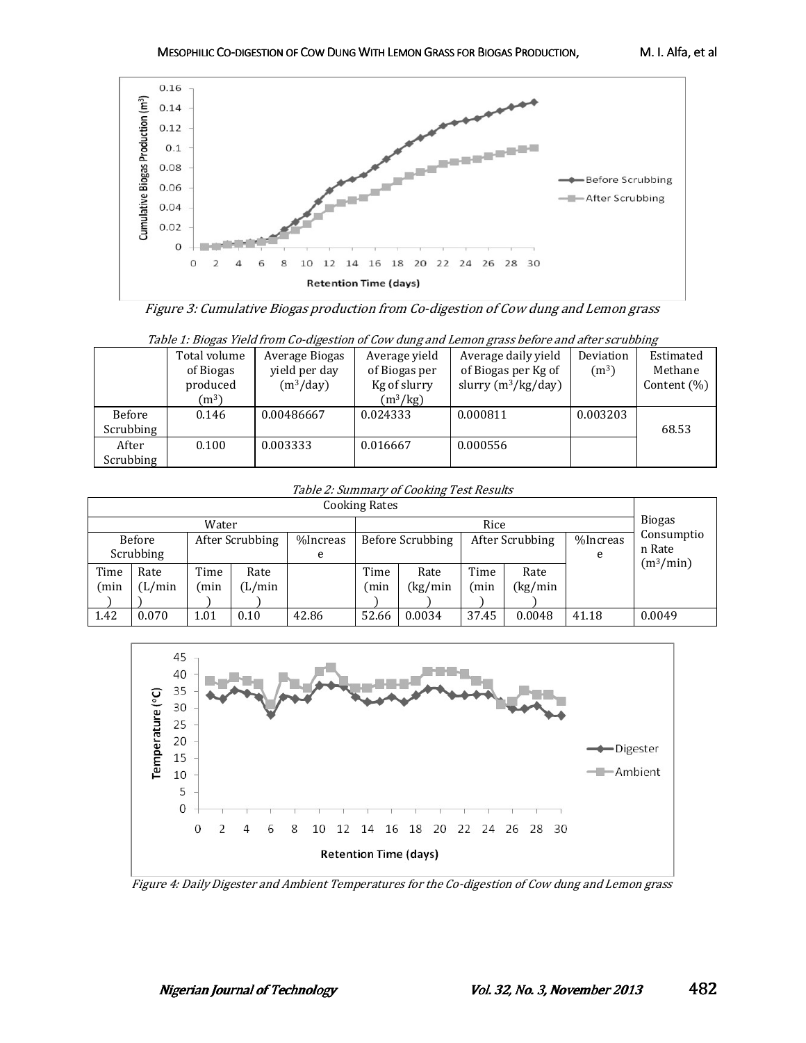

Figure 3: Cumulative Biogas production from Co-digestion of Cow dung and Lemon grass

| Table 1: Biogas Yield from Co-digestion of Cow dung and Lemon grass before and after scrubbing |              |                |               |                       |                   |                 |  |  |  |  |  |
|------------------------------------------------------------------------------------------------|--------------|----------------|---------------|-----------------------|-------------------|-----------------|--|--|--|--|--|
|                                                                                                | Total volume | Average Biogas | Average yield | Average daily yield   | Deviation         | Estimated       |  |  |  |  |  |
|                                                                                                | of Biogas    | yield per day  | of Biogas per | of Biogas per Kg of   | (m <sup>3</sup> ) | Methane         |  |  |  |  |  |
|                                                                                                | produced     | $(m^3/day)$    | Kg of slurry  | slurry $(m^3/kg/day)$ |                   | Content $(\% )$ |  |  |  |  |  |
|                                                                                                | $(m^3)$      |                | $(m^3/kg)$    |                       |                   |                 |  |  |  |  |  |
| Before                                                                                         | 0.146        | 0.00486667     | 0.024333      | 0.000811              | 0.003203          |                 |  |  |  |  |  |
| Scrubbing                                                                                      |              |                |               |                       |                   | 68.53           |  |  |  |  |  |
| After                                                                                          | 0.100        | 0.003333       | 0.016667      | 0.000556              |                   |                 |  |  |  |  |  |
| Scrubbing                                                                                      |              |                |               |                       |                   |                 |  |  |  |  |  |

#### Table 2: Summary of Cooking Test Results

| --- <i>a</i> - --------<br><b>Cooking Rates</b> |       |      |                 |          |                  |         |                 |         |          |                                               |
|-------------------------------------------------|-------|------|-----------------|----------|------------------|---------|-----------------|---------|----------|-----------------------------------------------|
| Water                                           |       |      |                 |          |                  | Rice    |                 |         |          |                                               |
| Before                                          |       |      | After Scrubbing | %Increas | Before Scrubbing |         | After Scrubbing |         | %Increas | Consumptio<br>n Rate<br>(m <sup>3</sup> /min) |
| Scrubbing                                       |       |      |                 | e        |                  |         | e               |         |          |                                               |
| Time                                            | Rate  | Time | Rate            |          | Time             | Rate    | Time            | Rate    |          |                                               |
| (min                                            | L/min | min) | (L/min          |          | (min             | (kg/min | min)            | (kg/min |          |                                               |
|                                                 |       |      |                 |          |                  |         |                 |         |          |                                               |
| 1.42                                            | 0.070 | 1.01 | 0.10            | 42.86    | 52.66            | 0.0034  | 37.45           | 0.0048  | 41.18    | 0.0049                                        |



Figure 4: Daily Digester and Ambient Temperatures for the Co-digestion of Cow dung and Lemon grass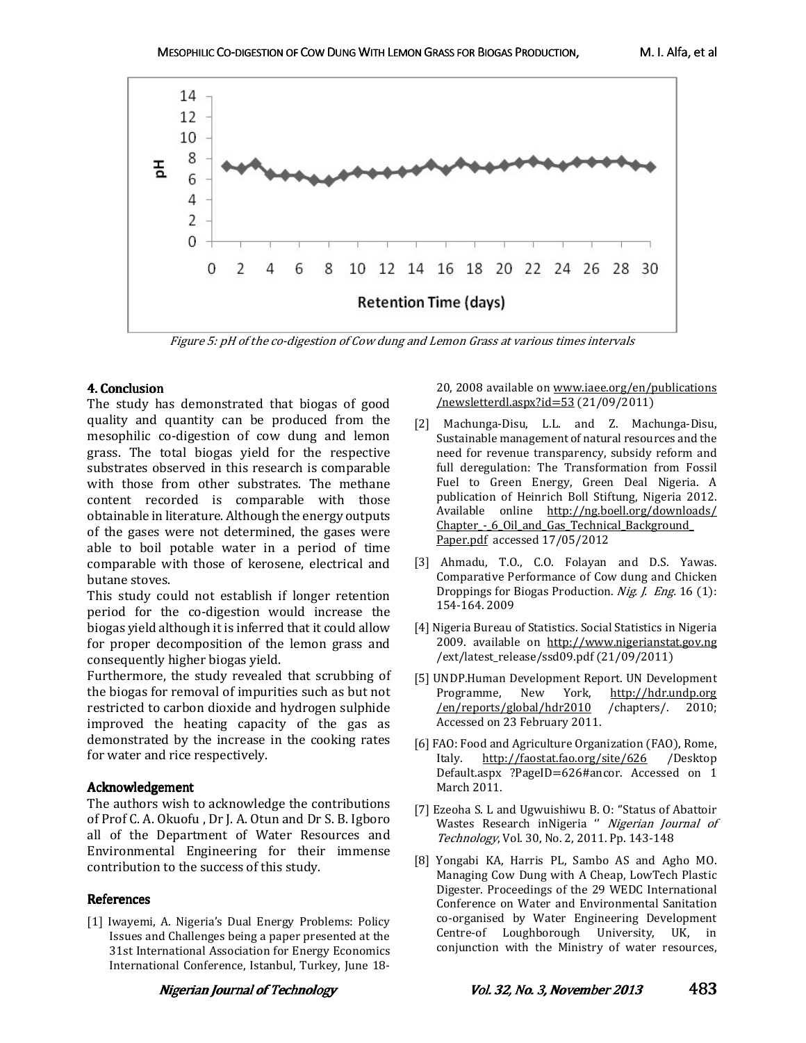

Figure 5: pH of the co-digestion of Cow dung and Lemon Grass at various times intervals

# 4. Conclusion 4. Conclusion

The study has demonstrated that biogas of good quality and quantity can be produced from the mesophilic co-digestion of cow dung and lemon grass. The total biogas yield for the respective substrates observed in this research is comparable with those from other substrates. The methane content recorded is comparable with those obtainable in literature. Although the energy outputs of the gases were not determined, the gases were able to boil potable water in a period of time comparable with those of kerosene, electrical and butane stoves.

This study could not establish if longer retention period for the co-digestion would increase the biogas yield although it is inferred that it could allow for proper decomposition of the lemon grass and consequently higher biogas yield.

Furthermore, the study revealed that scrubbing of the biogas for removal of impurities such as but not restricted to carbon dioxide and hydrogen sulphide improved the heating capacity of the gas as demonstrated by the increase in the cooking rates for water and rice respectively.

# Acknowledgement Acknowledgement

The authors wish to acknowledge the contributions of Prof C. A. Okuofu , Dr J. A. Otun and Dr S. B. Igboro all of the Department of Water Resources and Environmental Engineering for their immense contribution to the success of this study.

# **References**

[1] Iwayemi, A. Nigeria's Dual Energy Problems: Policy Issues and Challenges being a paper presented at the 31st International Association for Energy Economics International Conference, Istanbul, Turkey, June 1820, 2008 available on www.iaee.org/en/publications /newsletterdl.aspx?id=53 (21/09/2011)

- [2] Machunga-Disu, L.L. and Z. Machunga-Disu, Sustainable management of natural resources and the need for revenue transparency, subsidy reform and full deregulation: The Transformation from Fossil Fuel to Green Energy, Green Deal Nigeria. A publication of Heinrich Boll Stiftung, Nigeria 2012. Available online http://ng.boell.org/downloads/ Chapter - 6 Oil and Gas Technical Background Paper.pdf accessed 17/05/2012
- [3] Ahmadu, T.O., C.O. Folayan and D.S. Yawas. Comparative Performance of Cow dung and Chicken Droppings for Biogas Production. Nig. J. Eng. 16 (1): 154-164. 2009
- [4] Nigeria Bureau of Statistics. Social Statistics in Nigeria 2009. available on http://www.nigerianstat.gov.ng /ext/latest\_release/ssd09.pdf (21/09/2011)
- [5] UNDP.Human Development Report. UN Development<br>Programme, New York, http://hdr.undp.org http://hdr.undp.org /en/reports/global/hdr2010 /chapters/. 2010; Accessed on 23 February 2011.
- [6] FAO: Food and Agriculture Organization (FAO), Rome,<br>Italy. http://faostat.fao.org/site/626 /Desktop http://faostat.fao.org/site/626 Default.aspx ?PageID=626#ancor. Accessed on 1 March 2011.
- [7] Ezeoha S. L and Ugwuishiwu B. O: ''Status of Abattoir Wastes Research inNigeria " Nigerian Journal of Technology, Vol. 30, No. 2, 2011. Pp. 143-148
- [8] Yongabi KA, Harris PL, Sambo AS and Agho MO. Managing Cow Dung with A Cheap, LowTech Plastic Digester. Proceedings of the 29 WEDC International Conference on Water and Environmental Sanitation co-organised by Water Engineering Development Centre-of Loughborough University, UK, in conjunction with the Ministry of water resources,